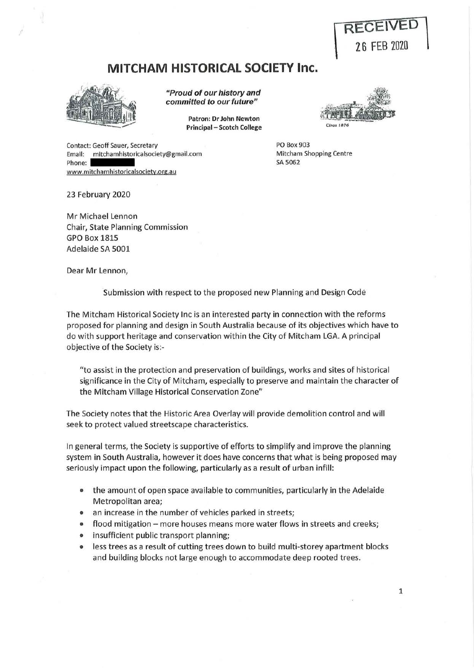## **MITCHAM HISTORICAL SOCIETY Inc.**



**"Proud of our history and committed to our future"** 

> **Patron: Dr John Newton Principal** - **Scotch College**



**RECEIVED** 

2 6 FEB 2020

PO Box 903 Mitcham Shopping Centre SA 5062

Contact: Geoff Sauer, Secretary Email: mitchamhistoricalsociety@gmail.com Phone: www.mitchamhistoricalsociety.org.au

23 February 2020

Mr Michael Lennon Chair, State Planning Commission GPO Box 1815 Adelaide SA 5001

Dear Mr Lennon,

Submission with respect to the proposed new Planning and Design Code

The Mitcham Historical Society Inc is an interested party in connection with the reforms proposed for planning and design in South Australia because of its objectives which have to do with support heritage and conservation within the City of Mitcham LGA. A principal objective of the Society is:-

"to assist in the protection and preservation of buildings, works and sites of historical significance in the City of Mitcham, especially to preserve and maintain the character of the Mitcham Village Historical Conservation Zone"

The Society notes that the Historic Area Overlay will provide demolition control and will seek to protect valued streetscape characteristics.

In general terms, the Society is supportive of efforts to simplify and improve the planning system in South Australia, however it does have concerns that what is being proposed may seriously impact upon the following, particularly as a result of urban infill:

- the amount of open space available to communities, particularly in the Adelaide Metropolitan area;
- an increase in the number of vehicles parked in streets;
- flood mitigation more houses means more water flows in streets and creeks;
- insufficient public transport planning;
- less trees as a result of cutting trees down to build multi-storey apartment blocks and building blocks not large enough to accommodate deep rooted trees.

1